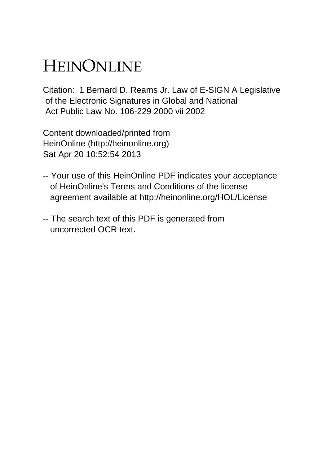# HEINONLINE

Citation: 1 Bernard D. Reams Jr. Law of E-SIGN A Legislative of the Electronic Signatures in Global and National Act Public Law No. 106-229 2000 vii 2002

Content downloaded/printed from HeinOnline (http://heinonline.org) Sat Apr 20 10:52:54 2013

- -- Your use of this HeinOnline PDF indicates your acceptance of HeinOnline's Terms and Conditions of the license agreement available at http://heinonline.org/HOL/License
- -- The search text of this PDF is generated from uncorrected OCR text.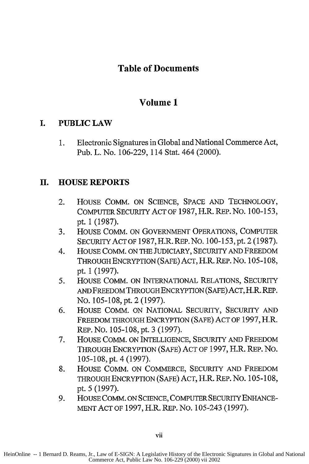#### **Table of Documents**

#### **Volume 1**

#### I. **PUBLIC LAW**

**1.** Electronic Signatures in Global and National Commerce Act, Pub. L. No. **106-229,** 114 Stat. 464 (2000).

#### **H. HOUSE REPORTS**

- 2. HOUSE COMM. **ON SCIENCE, SPACE AND** TECHNOLOGY, COMPUTER SECURITY **ACT** OF 1987, H.R. REP. No. 100-153, pt. 1 (1987).
- 3. HOUSE COMM. ON GOVERNMENT OPERATIONS, COMPUTER SECURITYACTOF 1987, H.R. REP.NO. 100-153, pt. 2 (1987).
- 4. HOUSE COMM. ON THE JUDICIARY, SECURITY AND FREEDOM THROUGH ENCRYPTION (SAFE) ACT, H.R. REP. No. 105-108, pt. 1 (1997).
- 5. HOUSE COMM. ON INTERNATIONAL RELATIONS, SECURITY AND FREEDOM THROUGH ENCRYPTION (SAFE) ACT, H.R. REP. No. 105-108,pt. 2 (1997).
- **6.** HOUSE COMM. ON NATIONAL SECURITY, SECURITY AND FREEDOM THROUGH ENCRYPTION (SAFE) ACT OF 1997, H.R. REP. NO. 105-108, pt. 3 (1997).
- **7.** HOUSE COMM. ON INTELLIGENCE, SECURITY AND FREEDOM THROUGH ENCRYPTION (SAFE) ACT OF 1997, H.R. REP. No. 105-108, pt. 4 (1997).
- 8. HOUSE COMM. ON COMMERCE, SECURITY AND FREEDOM THROUGH ENCRYPTION (SAFE) ACT, H.R. REP. No. 105-108, pt. 5 (1997).
- 9. HOUSE COMM. ON SCIENCE, COMPUTER SECURITY ENHANCE-MENT ACT OF 1997, H.R. REP. No. 105-243 (1997).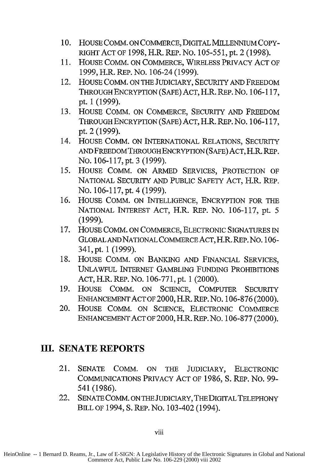- **10.** HOUSE COMM. ON COMMERCE, DIGITAL MILLENNIUM COPY-RIGHT ACT OF 1998, H.R. REP. No. 105-55 *1,* pt. 2 (1998).
- **11.** HOUSE COMM. ON COMMERCE, WIRELESS PRIVACY ACT OF 1999, H.R. REP. No. 106-24 (1999).
- 12. HOUSE COMM. ON THE JUDICIARY, SECURITY AND FREEDOM THROUGH ENCRYPTION (SAFE) ACT, H.R. REP. No. 106-117, pt. 1 (1999).
- 13. HOUSE COMM. ON COMMERCE, SECURITY AND FREEDOM THROUGH ENCRYPTION (SAFE) ACT, H.R. REP. **No.** 106-117, pt. 2 (1999).
- 14. HOUSE COMM. ON INTERNATIONAL RELATIONS, SECURITY AND FREEDOM THROUGH ENCRYPTION (SAFE) ACT, H.R. REP. No. 106-117, pt. 3 (1999).
- *15.* HOUSE COMM. ON ARMED SERVICES, PROTECTION OF NATIONAL SECURITY AND PUBLIC SAFETY ACT, H.R. REP. No. 106-117, pt. 4 (1999).
- 16. HOUSE COMM. ON INTELLIGENCE, ENCRYPTION FOR THE NATIONAL INTEREST ACT, H.R. REP. No. 106-117, pt. 5 (1999).
- 17. HOUSE COMM. ON COMMERCE, ELECTRONIC SIGNATURES IN GLOBALANDNATIONAL COMMERCEACT, H.R. REP. No. 106- 341, pt. 1 (1999).
- **18.** HOUSE COMM. ON BANKING AND FINANCIAL SERVICES, UNLAWFUL INTERNET GAMBLING FUNDING PROHIBITIONS ACT, H.R. REP. No. 106-771, pt. 1 (2000).
- 19. HOUSE COMM. ON SCIENCE, COMPUTER SECURITY ENHANCEMENT ACT OF 2000, H.R. REP. No. 106-876 (2000).
- 20. HOUSE COMM. ON SCIENCE, ELECTRONIC COMMERCE ENHANCEMENT ACT OF 2000, H.R. REP. No. 106-877 (2000).

#### **III. SENATE REPORTS**

- 21. SENATE COMM. ON THE JUDICIARY, ELECTRONIC COMMUNICATIONS PRIVACY ACT OF 1986, S. REP. No. 99- 541 (1986).
- 22. SENATE COMM. ON THE JUDICIARY, THE DIGITAL TELEPHONY BILL OF 1994, **S.** REP. No. 103-402 (1994).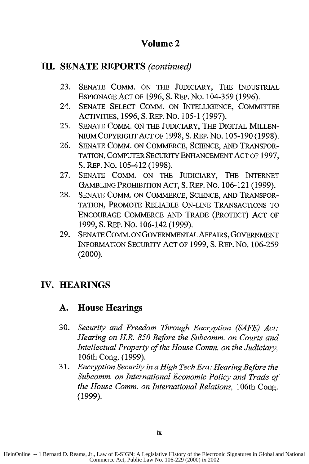#### **III. SENATE REPORTS** *(continued)*

- **23.** SENATE COMM. ON THE JUDICIARY, THE INDUSTRIAL ESPIONAGE ACT OF **1996, S.** REP. No. 104-359 (1996).
- 24. SENATE SELECT COMM. ON INTELLIGENCE, COMMITTEE ACTIVITIES, 1996, S. REP. No. 105-1 (1997).
- 25. SENATE COMM. ON THE JUDICIARY, THE DIGITAL MILLEN-NIUM COPYRIGHT ACT OF 1998, **S.** REP. No. 105-190 (1998).
- 26. SENATE COMM. ON COMMERCE, SCIENCE, AND TRANSPOR-TATION, COMPUTER SECURITY ENHANCEMENT ACT OF 1997, S. REP. NO. 105-412 (1998).
- 27. SENATE COMM. ON THE JUDICIARY, THE INTERNET GAMBLING PROHIBITION ACT, S. REP. No. 106-121 (1999).
- 28. SENATE COMM. ON COMMERCE, SCIENCE, AND TRANSPOR-TATION, PROMOTE RELIABLE ON-LINE TRANSACTIONS TO ENCOURAGE COMMERCE AND TRADE (PROTECT) ACT OF 1999, **S.** REP. No. 106-142 (1999).
- 29. SENATE COMM. ON GOVERNMENTAL AFFAIRS, GOVERNMENT INFORMATION SECURITY ACT OF 1999, **S.** REP. No. 106-259  $(2000).$

### **IV. HEARINGS**

#### **A. House Hearings**

- 30. *Security and Freedom Through Encryption (SAFE) Act: Hearing on H.R. 850 Before the Subcomm. on Courts and Intellectual Property of the House Comm. on the Judiciary,* 106th Cong. (1999).
- 31. *Encryption Security in a High Tech Era: Hearing Before the Subcomm. on International Economic Policy and Trade of the House Comm. on International Relations,* 106th Cong. (1999).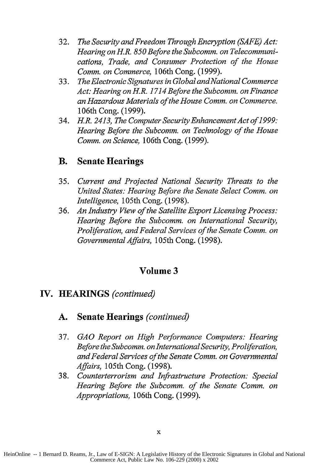- 32. *The Security and Freedom Through Encryption (SAFE) Act: Hearing on H.R. 850 Before the Subcomm. on Telecommunications, Trade, and Consumer Protection of the House Comm. on Commerce,* 106th Cong. (1999).
- 33. *The Electronic Signatures in Global andNational Commerce Act: Hearing on H.R. 1714 Before the Subcomm. on Finance an Hazardous Materials of the House Comm. on Commerce.* 106th Cong. (1999).
- 34. *H.R. 2413, The Computer Security Enhancement Act of 1999: Hearing Before the Subcomm. on Technology of the House Comm. on Science,* 106th Cong. (1999).

#### **B. Senate Hearings**

- 35. *Current and Projected National Security Threats to the United States: Hearing Before the Senate Select Comm. on Intelligence,* 105th Cong. (1998).
- 36. *An Industry View of the Satellite Export Licensing Process: Hearing Before the Subcomm. on International Security, Proliferation, and Federal Services of the Senate Comm. on Governmental Affairs,* 105th Cong. (1998).

#### **Volume 3**

#### **IV. HEARINGS** *(continued)*

#### **A. Senate Hearings** *(continued)*

- 37. *GAO Report on High Performance Computers: Hearing Before the Subcomm. on International Security, Proliferation, and Federal Services of the Senate Comm. on Governmental Affairs,* 105th Cong. (1998).
- 38. *Counterterrorism and Infrastructure Protection: Special Hearing Before the Subcomm. of the Senate Comm. on Appropriations,* 106th Cong. (1999).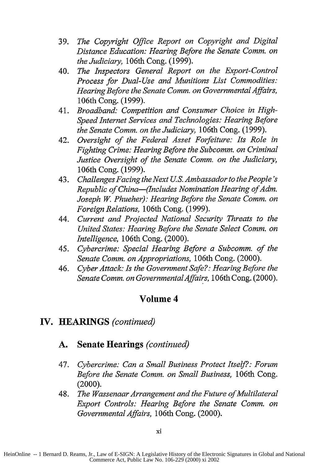- 39. *The Copyright Office Report on Copyright and Digital Distance Education: Hearing Before the Senate Comm. on the Judiciary,* 106th Cong. (1999).
- 40. *The Inspectors General Report on the Export-Control Process for Dual-Use and Munitions List Commodities: Hearing Before the Senate Comm. on Governmental Affairs,* 106th Cong. (1999).
- 41. *Broadband: Competition and Consumer Choice in High-Speed Internet Services and Technologies: Hearing Before the Senate Comm. on the Judiciary,* 106th Cong. (1999).
- 42. *Oversight of the Federal Asset Forfeiture: Its Role in Fighting Crime: Hearing Before the Subcomm. on Criminal Justice Oversight of the Senate Comm. on the Judiciary,* 106th Cong. (1999).
- 43. *Challenges Facing the Next US. Ambassador to the People's Republic of China-(Includes Nomination Hearing of Adm. Joseph W. Phueher): Hearing Before the Senate Comm. on Foreign Relations,* 106th Cong. (1999).
- 44. *Current and Projected National Security Threats to the United States: Hearing Before the Senate Select Comm. on Intelligence,* 106th Cong. (2000).
- 45. *Cybercrime: Special Hearing Before a Subcomm. of the Senate Comm. on Appropriations,* 106th Cong. (2000).
- 46. *Cyber Attack: Is the Government Safe?: Hearing Before the Senate Comm. on GovernmentalAffairs,* 106th Cong. (2000).

#### **IV. HEARINGS** *(continued)*

#### **A. Senate Hearings** *(continued)*

- 47. *Cybercrime: Can a Small Business Protect Itsel?.: Forum Before the Senate Comm. on Small Business,* 106th Cong. (2000).
- 48. *The Wassenaar Arrangement and the Future of Multilateral Export Controls: Hearing Before the Senate Comm. on Governmental Affairs,* 106th Cong. (2000).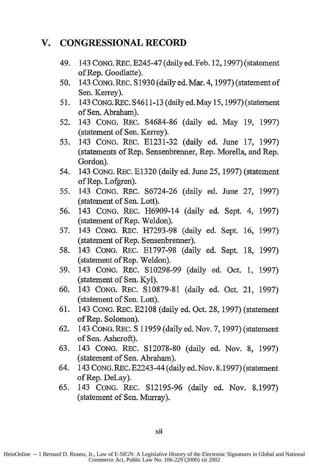#### **V. CONGRESSIONAL RECORD**

- 49. 143 CONG. REC. E245-47 (daily ed. Feb. 12, 1997) (statement of Rep. Goodlatte).
- 50. 143 CONG. REC. S 1930 (daily ed. Mar. 4, 1997) (statement of Sen. Kerrey).
- 51. 143 CONG. REC. S4611-13 (daily ed. May 15, 1997) (statement of Sen. Abraham).
- 52. 143 CONG. REC. S4684-86 (daily ed. May 19, 1997) (statement of Sen. Kerrey).
- 53. 143 CONG. REC. E1231-32 (daily ed. June 17, 1997) (statements of Rep. Sensenbrenner, Rep. Morella, and Rep. Gordon).
- 54. 143 CONG. REC. E1320 (daily ed. June 25, 1997) (statement of Rep. Lofgren).
- 55. 143 CONG. REC. S6724-26 (daily ed. June 27, 1997) (statement of Sen. Lott).
- *56.* 143 CONG. REC. H6909-14 (daily ed. Sept. 4, 1997) (statement of Rep. Weldon).
- 57. 143 CONG. REC. H7293-98 (daily ed. Sept. 16, 1997) (statement of Rep. Sensenbrenner).
- 58. 143 CONG. REC. E1797-98 (daily ed. Sept. 18, 1997) (statement of Rep. Weldon).
- 59. 143 CONG. REC. S10298-99 (daily ed. Oct. 1, 1997) (statement of Sen. Kyl).
- 60. 143 CONG. REC. S10879-81 (daily ed. Oct. 21, 1997) (statement of Sen. Lott).
- 61. 143 CONG. REC. E2108 (daily ed. Oct. 28, 1997) (statement of Rep. Solomon).
- 62. 143 CONG. REc. **S** 11959 (daily ed. Nov. 7, 1997) (statement of Sen. Ashcroft).
- 63. 143 CONG. REc. S12078-80 (daily ed. Nov. 8, 1997) (statement of Sen. Abraham).
- 64. 143 CONG. REC. E2243-44 (daily ed. Nov. 8.1997) (statement of Rep. DeLay).
- 65. 143 CONG. REC. S12195-96 (daily ed. Nov. 8.1997) (statement of Sen. Murray).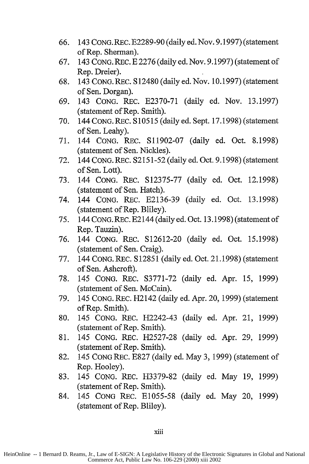- 66. 143 CONG. REC. E2289-90 (daily ed. Nov. 9.1997) (statement of Rep. Sherman).
- 67. 143 CONG. REC. E 2276 (daily ed. Nov. 9.1997) (statement of Rep. Dreier).
- 68. 143 CONG. REc. S 12480 (daily ed. Nov. 10.1997) (statement of Sen. Dorgan).
- 69. 143 CONG. REC. E2370-71 (daily ed. Nov. 13.1997) (statement of Rep. Smith).
- 70. 144 CONG. REC. **S10515** (daily ed. Sept. 17.1998) (statement of Sen. Leahy).
- 71. 144 CONG. REC. S11902-07 (daily ed. Oct. 8.1998) (statement of Sen. Nickles).
- 72. 144 CONG. REC. S2151-52 (daily ed. Oct. 9.1998) (statement of Sen. Lott).
- 73. 144 CONG. REC. S12375-77 (daily ed. Oct. 12.1998) (statement of Sen. Hatch).
- 74. 144 CONG. REC. E2136-39 (daily ed. Oct. 13.1998) (statement of Rep. Bliley).
- 75. 144 CONG. REC. E2144 (daily ed. Oct. 13.1998) (statement of Rep. Tauzin).
- 76. 144 CONG. REC. S12612-20 (daily ed. Oct. 15.1998) (statement of Sen. Craig).
- 77. 144 CONG. REC. S 12851 (daily ed. Oct. 21.1998) (statement of Sen. Ashcroft).
- 78. 145 CONG. REC. S3771-72 (daily ed. Apr. 15, 1999) (statement of Sen. McCain).
- 79. 145 CONG. REc. H2142 (daily ed. Apr. 20, 1999) (statement of Rep. Smith).
- 80. 145 CONG. REC. H2242-43 (daily ed. Apr. 21, 1999) (statement of Rep. Smith).
- 81. 145 CONG. REc. H2527-28 (daily ed. Apr. 29, 1999) (statement of Rep. Smith).
- 82. 145 CONG REC. E827 (daily ed. May 3, 1999) (statement of Rep. Hooley).
- 83. 145 CONG. REc. H3379-82 (daily ed. May 19, 1999) (statement of Rep. Smith).
- 84. 145 CONG REC. E1055-58 (daily ed. May 20, 1999) (statement of Rep. Bliley).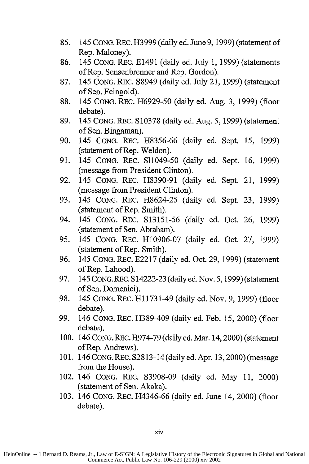- 85. 145 CONG. REC. H3999 (daily ed. June 9, 1999) (statement of Rep. Maloney).
- 86. 145 CoNG. REC. E1491 (daily ed. July 1, 1999) (statements of Rep. Sensenbrenner and Rep. Gordon).
- 87. 145 CONG. REC. S8949 (daily ed. July 21, 1999) (statement of Sen. Feingold).
- 88. 145 CONG. REC. H6929-50 (daily ed. Aug. 3, 1999) (floor debate).
- 89. 145 CONG. **REC.** S 10378 (daily ed. Aug. 5, 1999) (statement of Sen. Bingaman).
- 90. 145 CONG. REC. H8356-66 (daily ed. Sept. 15, 1999) (statement of Rep. Weldon).
- 91. 145 CONG. REC. S11049-50 (daily ed. Sept. 16, 1999) (message from President Clinton).
- 92. 145 CONG. REC. H8390-91 (daily ed. Sept. 21, 1999) (message from President Clinton).
- 93. 145 CONG. REC. H8624-25 (daily ed. Sept. 23, 1999) (statement of Rep. Smith).
- 94. 145 CONG. REC. S13151-56 (daily ed. Oct. 26, 1999) (statement of Sen. Abraham).
- 95. 145 CONG. REc. H10906-07 (daily ed. Oct. 27, 1999) (statement of Rep. Smith).
- 96. 145 CONG. REC. E2217 (daily ed. Oct. 29, 1999) (statement of Rep. Lahood).
- 97. 145 CoNG. REc. S 14222-23 (daily ed. Nov. 5, 1999) (statement of Sen. Domenici).
- 98. 145 CoNG. REC. H11731-49 (daily ed. Nov. 9, 1999) (floor debate).
- 99. 146 CONG. REC. H389-409 (daily ed. Feb. 15, 2000) (floor debate).
- 100. 146 CONG. REC. H974-79 (daily ed. Mar. 14,2000) (statement of Rep. Andrews).
- 101. 146 CONG. REc. S2813-14 (daily ed. Apr. 13,2000) (message from the House).
- 102. 146 CONG. REc. S3908-09 (daily ed. May 11, 2000) (statement of Sen. Akaka).
- 103. 146 CONG. REC. H4346-66 (daily ed. June 14, 2000) (floor debate).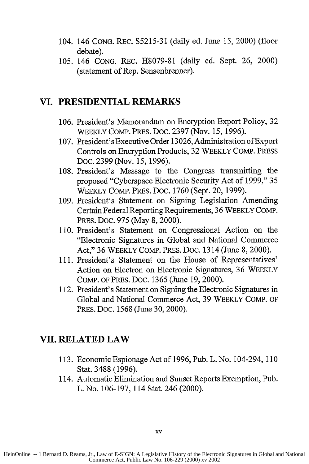- 104. 146 CONG. REC. S5215-31 (daily ed. June 15, 2000) (floor debate).
- 105. 146 CONG. REC. H8079-81 (daily ed. Sept. 26, 2000) (statement of Rep. Sensenbrenner).

#### **VI. PRESIDENTIAL REMARKS**

- 106. President's Memorandum on Encryption Export Policy, 32 WEEKLY COMP. PRES. Doc. 2397 (Nov. 15, 1996).
- 107. President's Executive Order 13026, Administration of Export Controls on Encryption Products, 32 WEEKLY COMP. PRESS DOC. 2399 (Nov. *15,* 1996).
- 108. President's Message to the Congress transmitting the proposed "Cyberspace Electronic Security Act of 1999," 35 WEEKLY COMP. PRES. Doc. 1760 (Sept. 20, 1999).
- 109. President's Statement on Signing Legislation Amending Certain Federal Reporting Requirements, 36 WEEKLY COMP. PRES. Doc. 975 (May 8, 2000).
- 110. President's Statement on Congressional Action on the "Electronic Signatures in Global and National Commerce Act," 36 WEEKLY COMP. PRES. DOC. 1314 (June 8, 2000).
- 111. President's Statement on the House of Representatives' Action on Electron on Electronic Signatures, 36 WEEKLY COMP. OF PRES. Doc. 1365 (June 19, 2000).
- 112. President's Statement on Signing the Electronic Signatures in Global and National Commerce Act, 39 WEEKLY COMP. OF PRES. Doc. 1568 (June 30, 2000).

#### **VII. RELATED LAW**

- 113. Economic Espionage Act of 1996, Pub. L. No. 104-294, 110 Stat. 3488 (1996).
- 114. Automatic Elimination and Sunset Reports Exemption, Pub. L. No. 106-197, 114 Stat. 246 (2000).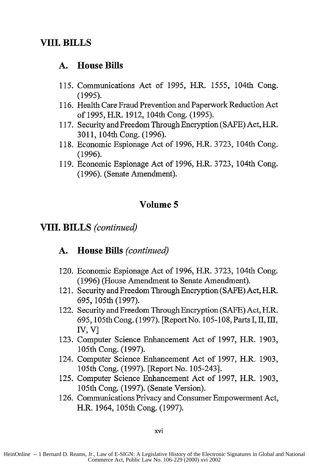#### **A. House Bills**

- 115. Communications Act of 1995, H.R. 1555, 104th Cong. (1995).
- 116. Health Care Fraud Prevention and Paperwork Reduction Act of 1995, H.R. 1912, 104th Cong. (1995).
- 117. Security and Freedom Through Encryption (SAFE) Act, H.R. 3011, 104th Cong. (1996).
- 118. Economic Espionage Act of 1996, H.R. 3723, 104th Cong. (1996).
- 119. Economic Espionage Act of 1996, H.R. 3723, 104th Cong. (1996). (Senate Amendment).

## **Volume 5**

#### **VIII. BILLS** *(continued)*

#### **A. House Bills** *(continued)*

- 120. Economic Espionage Act of **1996,** H.R. **3723,** 104th Cong. (1996) (House Amendment to Senate Amendment).
- 121. Security and Freedom Through Encryption **(SAFE)** Act, H.R. 695, 105th (1997).
- 122. Security and Freedom Through Encryption (SAFE) Act, H.R. 695, 105th Cong. (1997). [Report No. 105-108, Parts I, II, III, **IV,** V]
- 123. Computer Science Enhancement Act of 1997, H.R. 1903, 105th Cong. (1997).
- 124. Computer Science Enhancement Act of 1997, H.R. 1903, 105th Cong. (1997). [Report No. 105-243].
- 125. Computer Science Enhancement Act of 1997, H.R. 1903, 105th Cong. (1997). (Senate Version).
- 126. Communications Privacy and Consumer Empowerment Act, H.R. 1964, 105th Cong. (1997).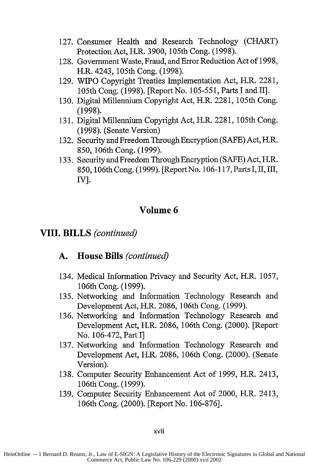- 127. Consumer Health and Research Technology (CHART) Protection Act, H.R. 3900, 105th Cong. (1998).
- 128. Government Waste, Fraud, and Error Reduction Act of 1998, H.R. 4243, 105th Cong. (1998).
- 129. WIPO Copyright Treaties Implementation Act, H.R. 2281, 105th Cong. (1998). [Report No. 105-55 1, Parts I and II].
- 130. Digital Millennium Copyright Act, H.R. 2281, 105th Cong. (1998).
- 131. Digital Millennium Copyright Act, H.R. 2281, 105th Cong. (1998). (Senate Version)
- 132. Security and Freedom Through Encryption (SAFE) Act, H.R. 850, 106th Cong. (1999).
- 133. Security and Freedom Through Encryption (SAFE) Act, H.R. 850, 106th Cong. (1999). [ReportNo. 106-117, Parts **1,** 11, 111, IV].

VIII. BILLS *(continued)*

#### **A. House Bills** *(continued)*

- 134. Medical Information Privacy and Security Act, H.R. 1057, 106th Cong. (1999).
- 135. Networking and Information Technology Research and Development Act, H.R. 2086, 106th Cong. (1999).
- 136. Networking and Information Technology Research and Development Act, H.R. 2086, 106th Cong. (2000). [Report No. 106-472, Part I]
- 137. Networking and Information Technology Research and Development Act, H.R. 2086, 106th Cong. (2000). (Senate Version).
- 138. Computer Security Enhancement Act of 1999, H.R. 2413, 106th Cong. (1999).
- 139. Computer Security Enhancement Act of 2000, H.R. 2413, 106th Cong. (2000). [Report No. 106-876].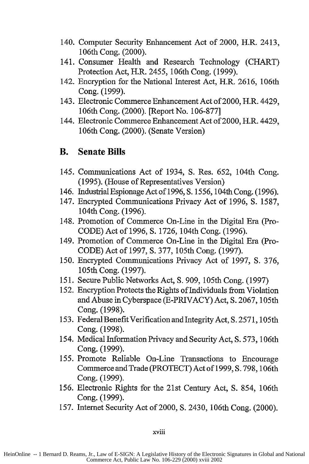- 140. Computer Security Enhancement Act of 2000, H.R. 2413, 106th Cong. (2000).
- 141. Consumer Health and Research Technology (CHART) Protection Act, H.R. 2455, 106th Cong. (1999).
- 142. Encryption for the National Interest Act, H.R. 2616, 106th Cong. (1999).
- 143. Electronic Commerce Enhancement Act of 2000, H.R. 4429, 106th Cong. (2000). [Report No. 106-877]
- 144. Electronic Commerce Enhancement Act of 2000, H.R. 4429, 106th Cong. (2000). (Senate Version)

#### B. **Senate Bills**

- 145. Communications Act of 1934, **S.** Res. 652, 104th Cong. (1995). (House of Representatives Version)
- 146. Industrial Espionage Act of 1996, S. 1556, 104th Cong. (1996).
- 147. Encrypted Communications Privacy Act of 1996, S. 1587, 104th Cong. (1996).
- 148. Promotion of Commerce On-Line in the Digital Era (Pro-CODE) Act of 1996, S. 1726, 104th Cong. (1996).
- 149. Promotion of Commerce On-Line in the Digital Era (Pro-CODE) Act of 1997, S. 377, 105th Cong. (1997).
- 150. Encrypted Communications Privacy Act of 1997, **S.** 376, 105th Cong. (1997).
- 151. Secure Public Networks Act, S. 909, 105th Cong. (1997)
- 152. Encryption Protects the Rights of Individuals from Violation and Abuse in Cyberspace (E-PRIVACY) Act, **S.** 2067, 105th Cong. (1998).
- 153. Federal Benefit Verification and Integrity Act, S. 2571, 105th Cong. (1998).
- 154. Medical Information Privacy and Security Act, **S.** 573, 106th Cong. (1999).
- *155.* Promote Reliable On-Line Transactions to Encourage Commerce and Trade (PROTECT) Act of 1999, **S.** 798, 106th Cong. (1999).
- 156. Electronic Rights for the 21st Century Act, **S.** 854, 106th Cong. (1999).
- 157. Internet Security Act of 2000, **S.** 2430, 106th Cong. (2000).

#### xviii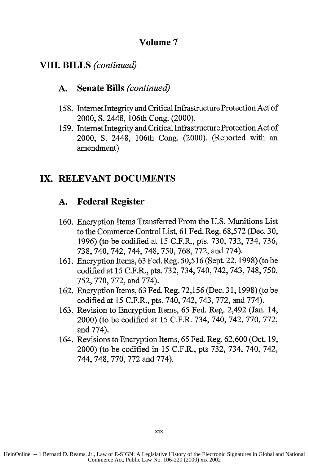#### **VIII. BILLS** *(continued)*

#### **A. Senate Bills** *(continued)*

- 158. Internet Integrity and Critical Infrastructure Protection Act of 2000, S. 2448, 106th Cong. (2000).
- 159. Internet Integrity and Critical Infrastructure Protection Act of 2000, S. 2448, 106th Cong. (2000). (Reported with an amendment)

#### **IX.** RELEVANT **DOCUMENTS**

#### **A. Federal Register**

- 160. Encryption Items Transferred From the U.S. Munitions List to the Commerce Control List, 61 Fed. Reg. 68,572 (Dec. 30, 1996) (to be codified at 15 C.F.R., pts. 730, 732, 734, 736, 738, 740, 742, 744, 748, 750, 768, 772, and 774).
- 161. Encryption Items, 63 Fed. Reg. 50,516 (Sept. 22, 1998) (to be codified at 15 C.F.R., pts. 732, 734, 740, 742, 743, 748, 750, 752, 770, 772, and 774).
- 162. Encryption Items, 63 Fed. Reg. 72,156 (Dec. 31, 1998) (to be codified at 15 C.F.R., pts. 740, 742, 743, 772, and 774).
- 163. Revision to Encryption Items, 65 Fed. Reg. 2,492 (Jan. 14, 2000) (to be codified at 15 C.F.R. 734, 740, 742, 770, 772, and 774).
- 164. Revisions to Encryption Items, 65 Fed. Reg. 62,600 (Oct. 19, 2000) (to be codified in 15 C.F.R., pts 732, 734, 740, 742, 744, 748, 770, 772 and 774).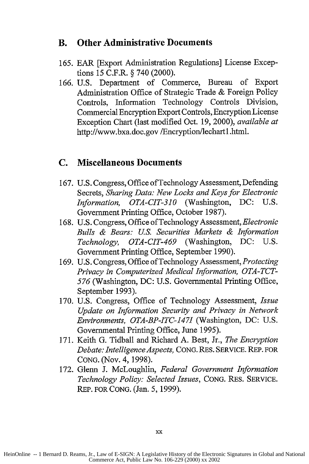#### **B. Other Administrative Documents**

- 165. EAR [Export Administration Regulations] License Exceptions 15 C.F.R. **§** 740 (2000).
- 166. U.S. Department of Commerce, Bureau of Export Administration Office of Strategic Trade & Foreign Policy Controls, Information Technology Controls Division, Commercial Encryption Export Controls, Encryption License Exception Chart (last modified Oct. 19, 2000), *available at* http://www.bxa.doc.gov /Encryption/lechartl.html.

#### **C. Miscellaneous Documents**

- 167. U.S. Congress, Office of Technology Assessment, Defending Secrets, *Sharing Data: New Locks and Keys for Electronic Information, OTA-CIT-310* (Washington, DC: U.S. Government Printing Office, October 1987).
- 168. U.S. Congress, Office of Technology Assessment, *Electronic Bulls & Bears: U.S. Securities Markets & Information Technology, OTA-CIT-469* (Washington, DC: U.S. Government Printing Office, September 1990).
- 169. U.S. Congress, Office of Technology Assessment, *Protecting Privacy in Computerized Medical Information, OTA-TCT-576* (Washington, DC: U.S. Governmental Printing Office, September 1993).
- 170. U.S. Congress, Office of Technology Assessment, *Issue Update on Information Security and Privacy in Network Environments, OTA-BP-ITC-1471* (Washington, DC: U.S. Governmental Printing Office, June 1995).
- 171. Keith G. Tidball and Richard A. Best, Jr., *The Encryption Debate: Intelligence Aspects,* CONG. RES. SERVICE. REP. FOR CONG. (Nov. 4, 1998).
- 172. Glenn J. McLoughlin, *Federal Government Information Technology Policy: Selected Issues,* CONG. RES. SERVICE. REP. FOR CONG. (Jan. 5, 1999).

HeinOnline -- 1 Bernard D. Reams, Jr., Law of E-SIGN: A Legislative History of the Electronic Signatures in Global and National Commerce Act, Public Law No. 106-229 (2000) xx 2002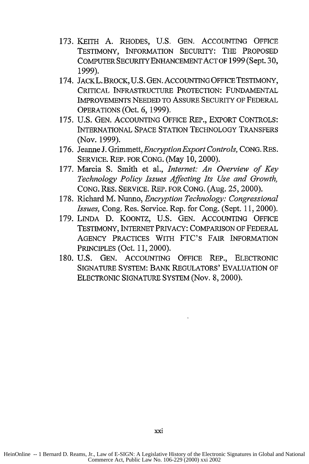- 173. KEITH A. RHODES, U.S. GEN. ACCOUNTING OFFICE TESTIMONY, INFORMATION SECURITY: THE PROPOSED COMPUTER SECURITY ENHANCEMENT ACT OF 1999 (Sept. **30,** 1999).
- 174. JACKL. BROCK, U.S. GEN. ACCOUNTING OFFICE TESTIMONY, CRITICAL INFRASTRUCTURE PROTECTION: FUNDAMENTAL IMPROVEMENTS NEEDED TO ASSURE SECURITY OF FEDERAL OPERATIONS (Oct. 6, 1999).
- 175. U.S. GEN. ACCOUNTING OFFICE REP., EXPORT CONTROLS: INTERNATIONAL SPACE STATION TECHNOLOGY TRANSFERS (Nov. 1999).
- 176. Jeanne J. Grimmett, *Encryption Export Controls,* CONG. RES. SERVICE. REP. FOR CONG. (May 10, 2000).
- **177.** Marcia S. Smith et al., *Internet: An Overview of Key Technology Policy Issues Affecting Its Use and Growth,* CONG. RES. SERVICE. REP. FOR CONG. (Aug. **25,** 2000).
- 178. Richard M. Nunno, *Encryption Technology: Congressional Issues,* Cong. Res. Service. Rep. for Cong. (Sept. 11, 2000).
- 179. LINDA **D.** KOONTZ, U.S. GEN. ACCOUNTING OFFICE TESTIMONY, INTERNET PRIVACY: COMPARISON OF FEDERAL AGENCY PRACTICES WITH FTC'S FAIR INFORMATION PRINCIPLES (Oct. 11, 2000).
- 180. U.S. GEN. ACCOUNTING OFFICE REP., ELECTRONIC SIGNATURE SYSTEM: BANK REGULATORS' EVALUATION OF ELECTRONIC SIGNATURE SYSTEM (Nov. 8, 2000).